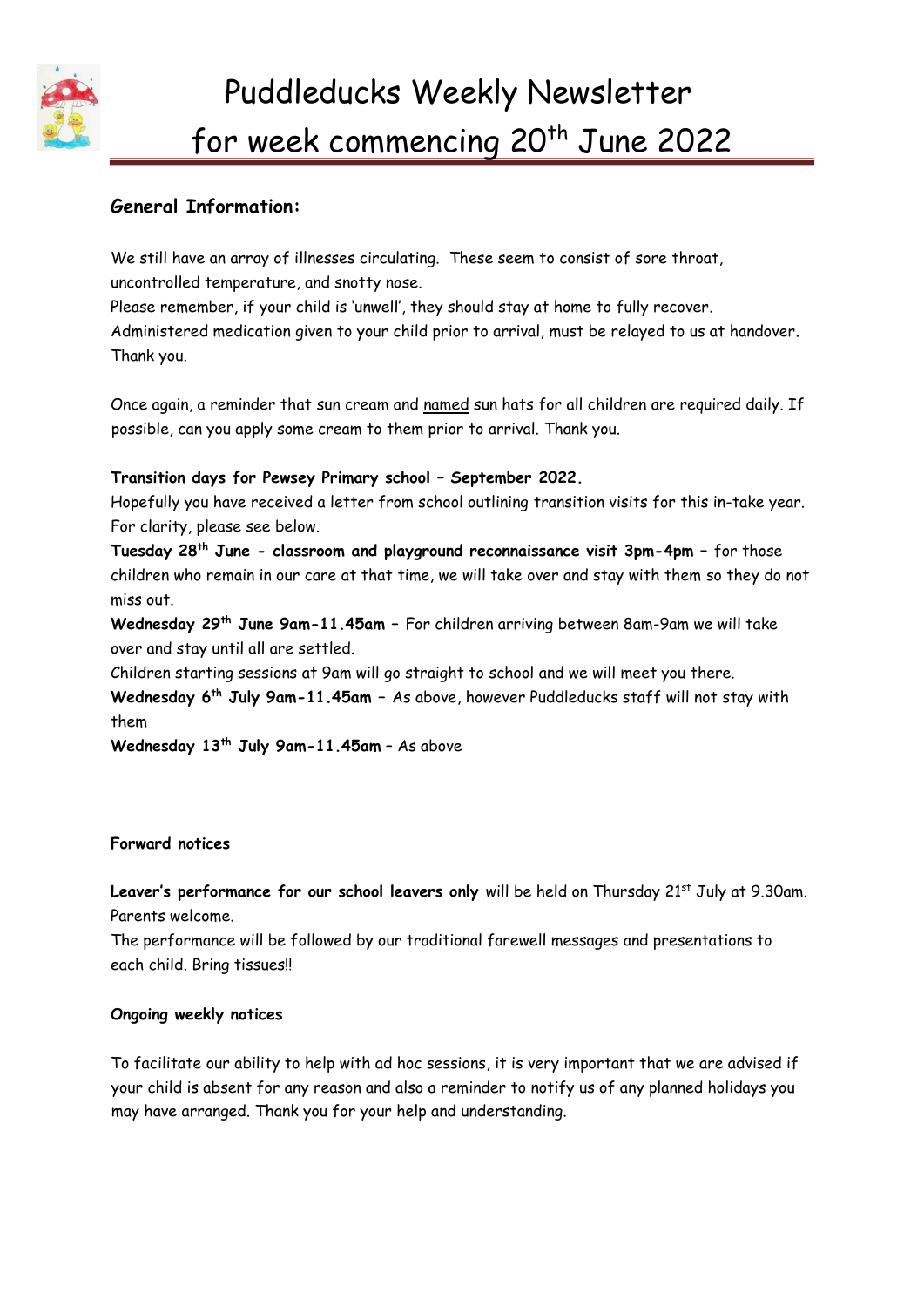

# **General Information:**

We still have an array of illnesses circulating. These seem to consist of sore throat, uncontrolled temperature, and snotty nose.

Please remember, if your child is 'unwell', they should stay at home to fully recover.

Administered medication given to your child prior to arrival, must be relayed to us at handover. Thank you.

Once again, a reminder that sun cream and named sun hats for all children are required daily. If possible, can you apply some cream to them prior to arrival. Thank you.

### **Transition days for Pewsey Primary school – September 2022.**

Hopefully you have received a letter from school outlining transition visits for this in-take year. For clarity, please see below.

**Tuesday 28th June - classroom and playground reconnaissance visit 3pm-4pm –** for those children who remain in our care at that time, we will take over and stay with them so they do not miss out.

**Wednesday 29th June 9am-11.45am –** For children arriving between 8am-9am we will take over and stay until all are settled.

Children starting sessions at 9am will go straight to school and we will meet you there.

**Wednesday 6th July 9am-11.45am –** As above, however Puddleducks staff will not stay with them

**Wednesday 13th July 9am-11.45am** – As above

#### **Forward notices**

Leaver's performance for our school leavers only will be held on Thursday 21<sup>st</sup> July at 9.30am. Parents welcome.

The performance will be followed by our traditional farewell messages and presentations to each child. Bring tissues!!

### **Ongoing weekly notices**

To facilitate our ability to help with ad hoc sessions, it is very important that we are advised if your child is absent for any reason and also a reminder to notify us of any planned holidays you may have arranged. Thank you for your help and understanding.